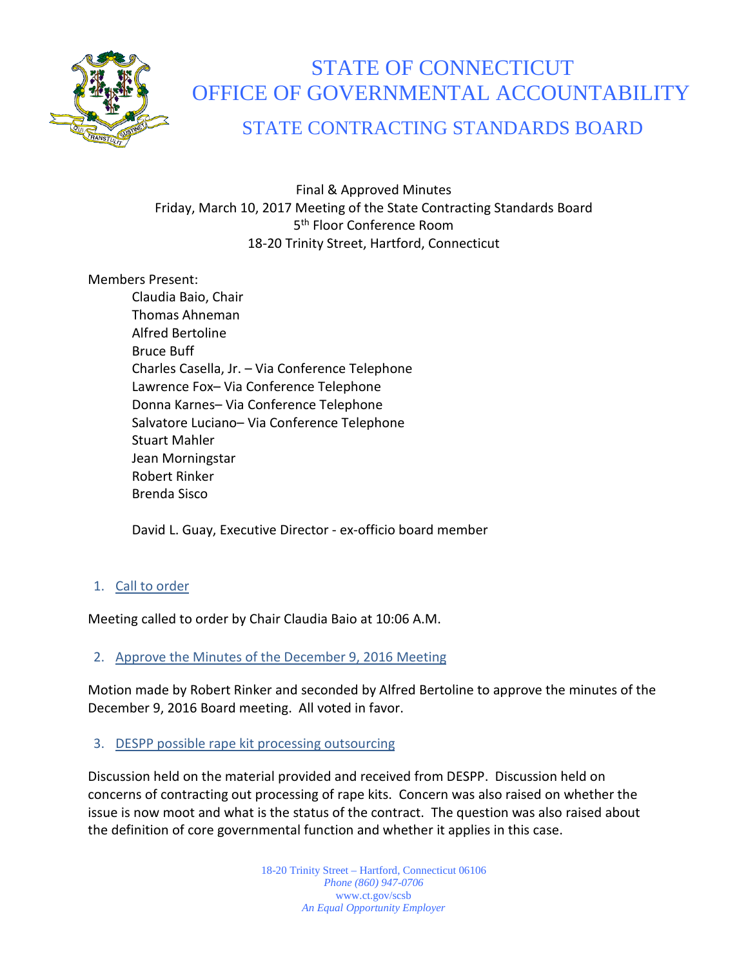

# STATE OF CONNECTICUT OFFICE OF GOVERNMENTAL ACCOUNTABILITY

## STATE CONTRACTING STANDARDS BOARD

Final & Approved Minutes Friday, March 10, 2017 Meeting of the State Contracting Standards Board 5<sup>th</sup> Floor Conference Room 18-20 Trinity Street, Hartford, Connecticut

#### Members Present:

Claudia Baio, Chair Thomas Ahneman Alfred Bertoline Bruce Buff Charles Casella, Jr. – Via Conference Telephone Lawrence Fox– Via Conference Telephone Donna Karnes– Via Conference Telephone Salvatore Luciano– Via Conference Telephone Stuart Mahler Jean Morningstar Robert Rinker Brenda Sisco

David L. Guay, Executive Director - ex-officio board member

## 1. Call to order

Meeting called to order by Chair Claudia Baio at 10:06 A.M.

## 2. Approve the Minutes of the December 9, 2016 Meeting

Motion made by Robert Rinker and seconded by Alfred Bertoline to approve the minutes of the December 9, 2016 Board meeting. All voted in favor.

## 3. DESPP possible rape kit processing outsourcing

Discussion held on the material provided and received from DESPP. Discussion held on concerns of contracting out processing of rape kits. Concern was also raised on whether the issue is now moot and what is the status of the contract. The question was also raised about the definition of core governmental function and whether it applies in this case.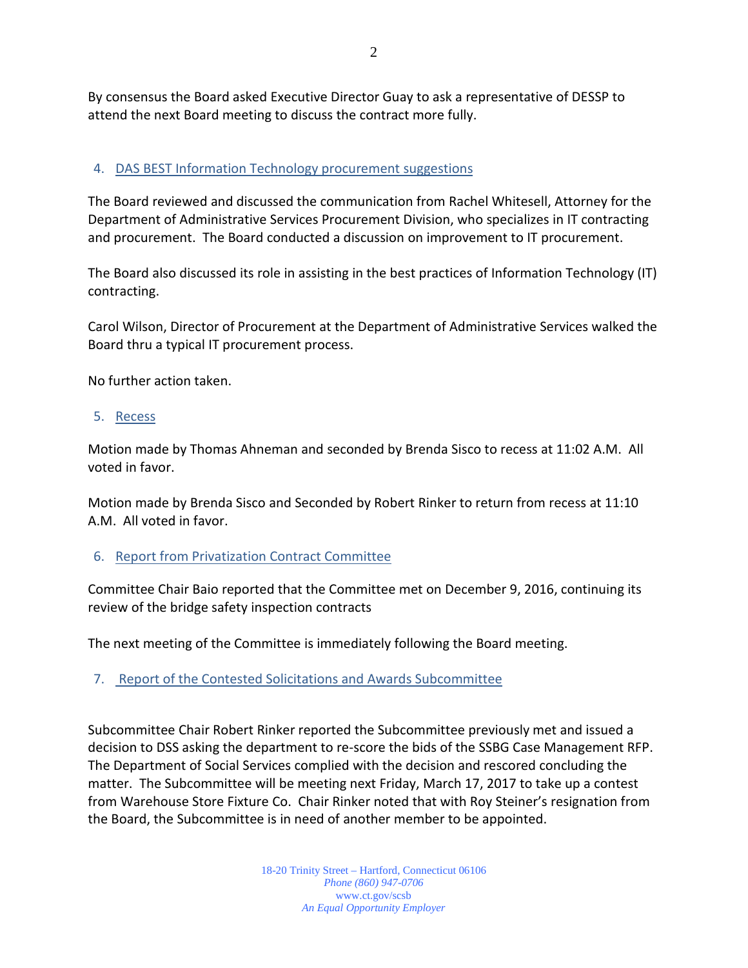By consensus the Board asked Executive Director Guay to ask a representative of DESSP to attend the next Board meeting to discuss the contract more fully.

#### 4. DAS BEST Information Technology procurement suggestions

The Board reviewed and discussed the communication from Rachel Whitesell, Attorney for the Department of Administrative Services Procurement Division, who specializes in IT contracting and procurement. The Board conducted a discussion on improvement to IT procurement.

The Board also discussed its role in assisting in the best practices of Information Technology (IT) contracting.

Carol Wilson, Director of Procurement at the Department of Administrative Services walked the Board thru a typical IT procurement process.

No further action taken.

#### 5. Recess

Motion made by Thomas Ahneman and seconded by Brenda Sisco to recess at 11:02 A.M. All voted in favor.

Motion made by Brenda Sisco and Seconded by Robert Rinker to return from recess at 11:10 A.M. All voted in favor.

#### 6. Report from Privatization Contract Committee

Committee Chair Baio reported that the Committee met on December 9, 2016, continuing its review of the bridge safety inspection contracts

The next meeting of the Committee is immediately following the Board meeting.

#### 7. Report of the Contested Solicitations and Awards Subcommittee

Subcommittee Chair Robert Rinker reported the Subcommittee previously met and issued a decision to DSS asking the department to re-score the bids of the SSBG Case Management RFP. The Department of Social Services complied with the decision and rescored concluding the matter. The Subcommittee will be meeting next Friday, March 17, 2017 to take up a contest from Warehouse Store Fixture Co. Chair Rinker noted that with Roy Steiner's resignation from the Board, the Subcommittee is in need of another member to be appointed.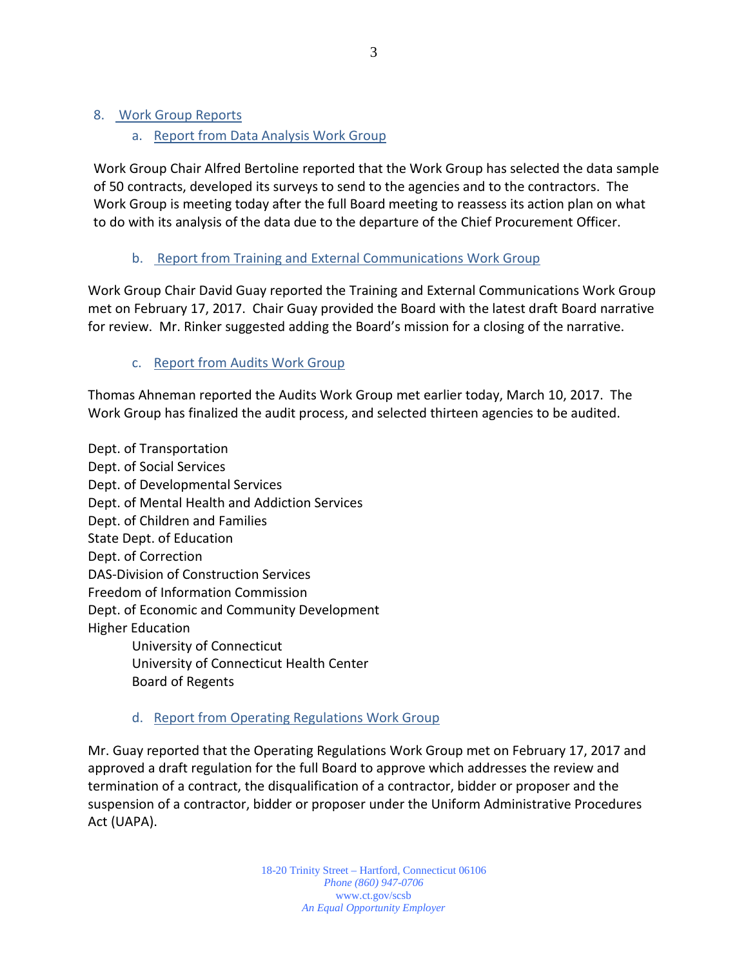## a. Report from Data Analysis Work Group

Work Group Chair Alfred Bertoline reported that the Work Group has selected the data sample of 50 contracts, developed its surveys to send to the agencies and to the contractors. The Work Group is meeting today after the full Board meeting to reassess its action plan on what to do with its analysis of the data due to the departure of the Chief Procurement Officer.

## b. Report from Training and External Communications Work Group

Work Group Chair David Guay reported the Training and External Communications Work Group met on February 17, 2017. Chair Guay provided the Board with the latest draft Board narrative for review. Mr. Rinker suggested adding the Board's mission for a closing of the narrative.

## c. Report from Audits Work Group

Thomas Ahneman reported the Audits Work Group met earlier today, March 10, 2017. The Work Group has finalized the audit process, and selected thirteen agencies to be audited.

Dept. of Transportation Dept. of Social Services Dept. of Developmental Services Dept. of Mental Health and Addiction Services Dept. of Children and Families State Dept. of Education Dept. of Correction DAS-Division of Construction Services Freedom of Information Commission Dept. of Economic and Community Development Higher Education University of Connecticut University of Connecticut Health Center Board of Regents

## d. Report from Operating Regulations Work Group

Mr. Guay reported that the Operating Regulations Work Group met on February 17, 2017 and approved a draft regulation for the full Board to approve which addresses the review and termination of a contract, the disqualification of a contractor, bidder or proposer and the suspension of a contractor, bidder or proposer under the Uniform Administrative Procedures Act (UAPA).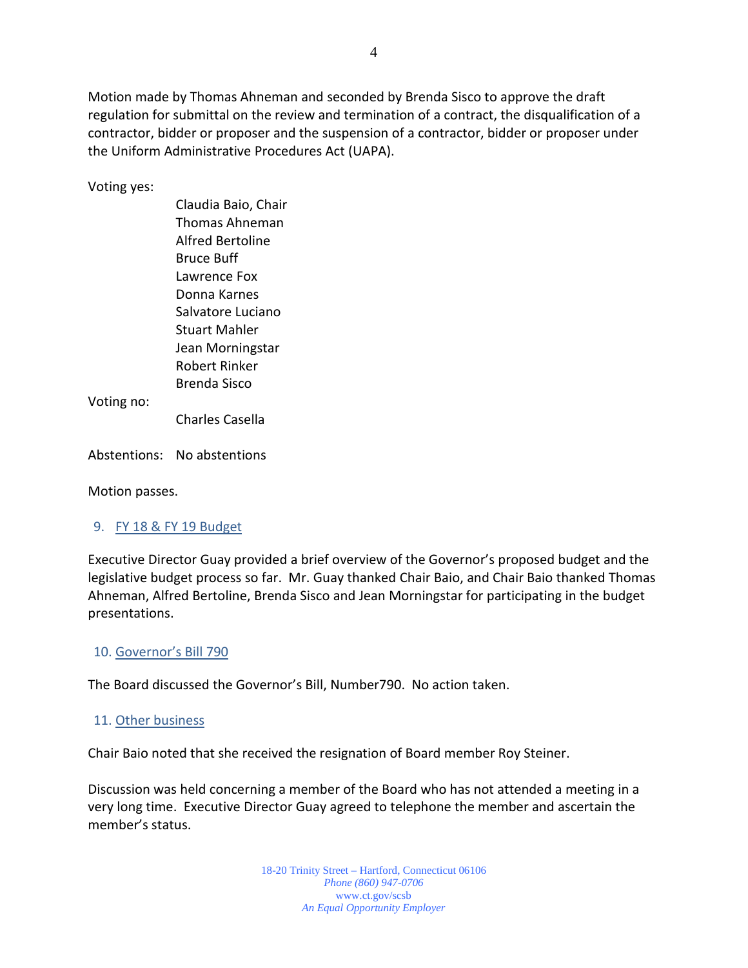Motion made by Thomas Ahneman and seconded by Brenda Sisco to approve the draft regulation for submittal on the review and termination of a contract, the disqualification of a contractor, bidder or proposer and the suspension of a contractor, bidder or proposer under the Uniform Administrative Procedures Act (UAPA).

Voting yes:

Claudia Baio, Chair Thomas Ahneman Alfred Bertoline Bruce Buff Lawrence Fox Donna Karnes Salvatore Luciano Stuart Mahler Jean Morningstar Robert Rinker Brenda Sisco

Voting no:

Charles Casella

Abstentions: No abstentions

Motion passes.

#### 9. FY 18 & FY 19 Budget

Executive Director Guay provided a brief overview of the Governor's proposed budget and the legislative budget process so far. Mr. Guay thanked Chair Baio, and Chair Baio thanked Thomas Ahneman, Alfred Bertoline, Brenda Sisco and Jean Morningstar for participating in the budget presentations.

#### 10. Governor's Bill 790

The Board discussed the Governor's Bill, Number790. No action taken.

#### 11. Other business

Chair Baio noted that she received the resignation of Board member Roy Steiner.

Discussion was held concerning a member of the Board who has not attended a meeting in a very long time. Executive Director Guay agreed to telephone the member and ascertain the member's status.